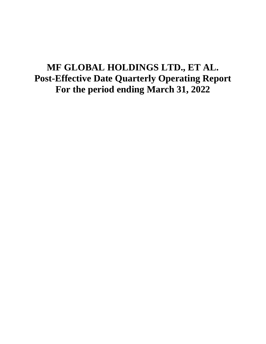# **MF GLOBAL HOLDINGS LTD., ET AL. Post-Effective Date Quarterly Operating Report For the period ending March 31, 2022**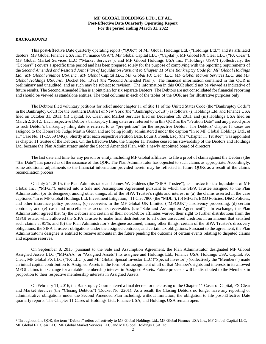# **MF GLOBAL HOLDINGS LTD., ET AL. Post-Effective Date Quarterly Operating Report For the period ending March 31, 2022**

# **BACKGROUND**

 $\overline{a}$ 

This post-Effective Date quarterly operating report ("QOR") of MF Global Holdings Ltd. ("Holdings Ltd.") and its affiliated debtors, MF Global Finance USA Inc. ("Finance USA"), MF Global Capital LLC ("Capital"), MF Global FX Clear LLC ("FX Clear"), MF Global Market Services LLC ("Market Services"), and MF Global Holdings USA Inc. ("Holdings USA") (collectively, the "Debtors"<sup>1</sup>) covers a specific time period and has been prepared solely for the purpose of complying with the reporting requirements of the *Second Amended and Restated Joint Plan of Liquidation Pursuant to Chapter 11 of the Bankruptcy Code for MF Global Holdings Ltd., MF Global Finance USA Inc., MF Global Capital LLC, MF Global FX Clear LLC, MF Global Market Services LLC, and MF Global Holdings USA Inc.* (Docket No. 1382) (the "Second Amended Plan"). The financial information contained in this QOR is preliminary and unaudited, and as such may be subject to revision. The information in this QOR should not be viewed as indicative of future results. The Second Amended Plan is a joint plan for six separate Debtors. The Debtors are not consolidated for financial reporting and should be viewed as standalone entities. The total columns in each of the tables of the QOR are for illustrative purposes only.

The Debtors filed voluntary petitions for relief under chapter 11 of title 11 of the United States Code (the "Bankruptcy Code") in the Bankruptcy Court for the Southern District of New York (the "Bankruptcy Court") as follows: (i) Holdings Ltd. and Finance USA filed on October 31, 2011; (ii) Capital, FX Clear, and Market Services filed on December 19, 2011; and (iii) Holdings USA filed on March 2, 2012. Each respective Debtor's bankruptcy filing dates are referred to in this QOR as the "Petition Date" and any period prior to such Debtor's bankruptcy filing date is referred to as "pre-petition" for the respective Debtor. The Debtors' chapter 11 cases are assigned to the Honorable Judge Martin Glenn and are being jointly administered under the caption "In re MF Global Holdings Ltd., et al." Case No. 11-15059 (MG). Shortly after each respective Petition Date, Louis J. Freeh, Esq. (the "Chapter 11 Trustee") was appointed as chapter 11 trustee of the Debtors. On the Effective Date, the Chapter 11 Trustee ceased his stewardship of the Debtors and Holdings Ltd. became the Plan Administrator under the Second Amended Plan, with a newly appointed board of directors.

The last date and time for any person or entity, including MF Global affiliates, to file a proof of claim against the Debtors (the "Bar Date") has passed as of the issuance of this QOR. The Plan Administrator has objected to such claims as appropriate. Accordingly, some additional adjustments to the financial information provided herein may be reflected in future QORs as a result of the claims reconciliation process.

On July 24, 2015, the Plan Administrator and James W. Giddens (the "SIPA Trustee"), as Trustee for the liquidation of MF Global Inc. ("MFGI"), entered into a Sale and Assumption Agreement pursuant to which the SIPA Trustee assigned to the Plan Administrator (or its designee), among other things, all of the SIPA Trustee's rights and interest in (a) the claims asserted in the case captioned "In re MF Global Holdings Ltd. Investment Litigation," 11 Civ. 7866 (the "MDL"), (b) MFGI's E&O Policies, D&O Policies, and other insurance policy proceeds, (c) recoveries in the MF Global UK Limited ("MFGUK") insolvency proceeding, (d) certain contracts, and (e) cash and miscellaneous accounts receivables (the "Sale and Assumption Agreement"). In exchange, the Plan Administrator agreed that (a) the Debtors and certain of their non-Debtor affiliates waived their right to further distributions from the MFGI estate, which allowed the SIPA Trustee to make final distributions to all other unsecured creditors in an amount that satisfied such claims at 95%, and (b) the Plan Administrator's designee assumed, among other things, certain of the SIPA Trustee's discovery obligations, the SIPA Trustee's obligations under the assigned contracts, and certain tax obligations. Pursuant to the agreement, the Plan Administrator's designee is entitled to receive amounts in the future pending the outcome of certain events relating to disputed claims and expense reserves.

On September 8, 2015, pursuant to the Sale and Assumption Agreement, the Plan Administrator designated MF Global Assigned Assets LLC ("MFGAA" or "Assigned Assets") its assignee and Holdings Ltd., Finance USA, Holdings USA, Capital, FX Clear, MF Global FX LLC ("FX LLC"), and MF Global Special Investor LLC ("Special Investor") (collectively the "Members") made an initial capital contribution to Assigned Assets in the form of an assignment of all of that Member's rights and interests in its allowed MFGI claims in exchange for a ratable membership interest in Assigned Assets. Future proceeds will be distributed to the Members in proportion to their respective membership interests in Assigned Assets.

On February 11, 2016, the Bankruptcy Court entered a final decree for the closing of the Chapter 11 Cases of Capital, FX Clear and Market Services (the "Closing Debtors") (Docket No. 2201). As a result, the Closing Debtors no longer have any reporting or administrative obligations under the Second Amended Plan including, without limitation, the obligation to file post-Effective Date quarterly reports. The Chapter 11 Cases of Holdings Ltd., Finance USA, and Holdings USA remain open.

 $1$  Throughout this OOR, the term "Debtors" refers collectively to MF Global Holdings Ltd., MF Global Finance USA Inc., MF Global Capital LLC, MF Global FX Clear LLC, MF Global Market Services LLC, and MF Global Holdings USA Inc.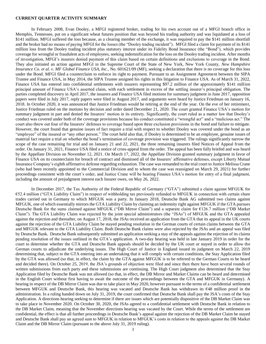## **CURRENT QUARTER ACTIVITY SUMMARY**

In February 2008, Evan Dooley, a MFGI registered broker, trading for his own account out of a MFGI branch office in Memphis, Tennessee, put on a significant wheat futures position that was beyond his trading authority and was liquidated at a loss of \$141 million. MFGI suffered the loss because, as a clearing member of the exchange, it was required to pay the \$141 million shortfall and the broker had no means of paying MFGI for the losses (the "Dooley trading incident"). MFGI filed a claim for payment of its \$141 million loss from the Dooley trading incident plus statutory interest under its Fidelity Bond Insurance (the "Bond"), which provides coverage for wrongful or fraudulent acts of employees, seeking indemnification for the loss on the Dooley trading incident. After months of investigation, MFGI's insurers denied payment of this claim based on certain definitions and exclusions to coverage in the Bond. They also initiated an action against MFGI in the Supreme Court of the State of New York, New York County, *New Hampshire Insurance Co. et al. v. MF Global Finance USA, Inc.*, No. 601621/09 (MF), seeking a declaration that there is no coverage for this loss under the Bond. MFGI filed a counterclaim to enforce its right to payment. Pursuant to an Assignment Agreement between the SIPA Trustee and Finance USA, in May 2014, the SIPA Trustee assigned his rights in this litigation to Finance USA. As of March 31, 2022, Finance USA has entered into confidential settlements with insurers representing \$97.2 million of the approximately \$141 million principal amount of Finance USA's asserted claim, with each settlement in excess of the settling insurer's principal obligation. The parties completed discovery in April 2017, the insurers and Finance USA filed motions for summary judgment in June 2017, opposition papers were filed in July 2017, reply papers were filed in August 2017, and arguments were heard by Justice Friedman on January 16, 2018. In October 2020, it was announced that Justice Friedman would be retiring at the end of the year. On the eve of her retirement, Justice Friedman ruled on the motions by decision and order dated December 21, 2020. The court granted Finance USA's motion for summary judgment in part and denied the Insurers' motion in its entirety. Significantly, the court ruled as a matter law that Dooley's conduct was covered under both of the coverage provisions because his conduct constituted a "wrongful act" and a "malicious act." The court also threw out four of the Insurers' defenses to coverage based upon three exclusion provisions in the bond and failure to mitigate. However, the court found that genuine issues of fact require a trial with respect to whether Dooley was covered under the bond as an "employee" of the insured or "any other person." The court held also that, if Dooley is determined to be an employee, genuine issues of material fact require a trial on whether the bond's termination of coverage provision was triggered. The rulings significantly narrow the scope of the case remaining for trial and on January 21 and 22, 2021, the three remaining insurers filed Notices of Appeal from the order. On January 31, 2021, Finance USA filed a notice of cross-appeal from the order. The appeal has been fully briefed and was heard by the Appellate Division on November 12, 2021. On March 17, 2022, the Appellate Division granted summary judgment in favor of Finance USA on its counterclaim for breach of contract and dismissed all of the Insurers' affirmative defenses, except Liberty Mutual Insurance Company's eighth affirmative defense regarding exhaustion. The case was remanded to the trial court to Justice Melissa Crane (who had been recently appointed to the Commercial Division and to whom the case was reassigned on March 29, 2021) for further proceedings consistent with the court's order, and Justice Crane will be hearing Finance USA's motion for entry of a final judgment, including the amount of prejudgment interest each Insurer owes, on May 26, 2022.

In December 2017, the Tax Authority of the Federal Republic of Germany ("GTA") submitted a claim against MFGUK for €52.4 million ("GTA Liability Claim") in respect of withholding tax previously refunded to MFGUK in connection with certain share trades carried out in Germany to which MFGUK was a party. In January 2018, Deutsche Bank AG submitted two claims against MFGUK, one of which essentially mirrors the GTA Liability Claim by claiming an indemnity right against MFGUK if the GTA pursues Deutsche Bank for the sums claimed against MFGUK ("DB Mirror Claim") and a separate claim for €126.7 million ("DB Market Claim"). The GTA Liability Claim was rejected by the joint special administrators (the "JSAs") of MFGUK and the GTA appealed against the rejection and thereafter, on August 17, 2018, the JSAs received an application from the GTA that its appeal in the UK courts against the rejection of the GTA Liability Claim be stayed pending resolution in the German courts of certain claims between the GTA and MFGUK relevant to the GTA Liability Claim. Both Deutsche Bank claims were also rejected by the JSAs and an appeal was filed by Deutsche Bank. Deutsche Bank subsequently submitted an application seeking a stay of the appeals against the rejection of its claims pending resolution of the issues outlined in the GTA's application. A two-day hearing was held in late January 2019 in order for the court to determine whether the GTA and Deutsche Bank appeals should be decided by the UK court or stayed in order to allow the German courts to adjudicate the underlying issues. The High Court of Justice in England issued its judgment on March 22, 2019 determining that, subject to the GTA entering into an undertaking that it will comply with certain conditions, the Stay Application filed by the GTA was allowed (so that, in effect, the claim by the GTA against MFGUK is to be referred to the German Courts to be heard and decided there). On October 25, 2019, the JSA's grounds of objection were filed and since then there have been several rounds of written submissions from each party and these submissions are continuing. The High Court judgment also determined that the Stay Application filed by Deutsche Bank was not allowed (so that, in effect, the DB Mirror and Market Claims can be heard and determined in the English Court without first having to await the outcome of the proceedings between the GTA and MFGUK in Germany). A hearing in respect of the DB Mirror Claim was due to take place in May 2020, however pursuant to the terms of a confidential settlement between MFGUK and Deutsche Bank, this hearing was vacated and Deutsche Bank has withdrawn its €48 million proof in the administration. In a ruling handed down on July 31, 2019, the court confirmed that Deutsche Bank shall pay the JSA's costs of the Stay Application. A directions hearing seeking to determine if there are issues which are potentially dispositive of the DB Market Claim was to take place in November 2020. On October 30, 2020, the JSAs agreed to a confidential settlement with Deutsche Bank in relation to the DB Market Claim, meaning that the November directions hearing was vacated by the Court. While the terms of the settlement are confidential, the effect is that all further proceedings in Deutsche Bank's appeal against the rejection of the DB Market Claim be stayed and Deutsche Bank shall pay an agreed sum to MFGUK in relation to MFGUK's costs in relation to the appeals against the DB Market Claim and the DB Mirror Claim (pursuant to the above July 31, 2019 ruling).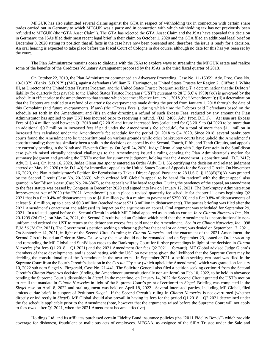MFGUK has also submitted several claims against the GTA in respect of withholding tax in connection with certain share trades carried out in Germany to which MFGUK was a party and in connection with which withholding tax has not previously been refunded to MFGUK (the "GTA Asset Claim"). The GTA has rejected the GTA Asset Claim and the JSAs have appealed this decision in Germany; the JSAs filed their most recent legal brief in their claim on October 1, 2020 and the GTA filed an additional legal brief on December 8, 2020 stating its position that all facts in the case have now been presented and, therefore, the issue is ready for a decision. An oral hearing is expected to take place before the Fiscal Court of Cologne in due course, although no date for this has yet been set by the court.

The Plan Administrator remains open to dialogue with the JSAs to explore ways to streamline the MFGUK estate and realize some of the benefits of the Creditors Voluntary Arrangement proposed by the JSAs in the third fiscal quarter of 2018.

On October 22, 2019, the Plan Administrator commenced an Adversary Proceeding, Case No. 11-15059; Adv. Proc. Case No. 19-01379 (Bankr. S.D.N.Y.) (MG), against defendants William K. Harrington, as United States Trustee for Region 2, Clifford J. White III, as Director of the United States Trustee Program, and the United States Trustee Program seeking (i) a determination that the Debtors' liability for quarterly fees payable to the United States Trustee Program ("UST") pursuant to 28 U.S.C § 1930(a)(6) is governed by the schedule in effect prior to the amendment to that statute which became effective January 1, 2018 (the "Amendment"); (ii) a determination that the Debtors are entitled to a refund of quarterly fee overpayments made during the period from January 1, 2018 through the date of this Complaint (and future overpayments, if any) (the "Excess Fees"), during which time the Debtors paid Defendants based on the schedule set forth in the Amendment; and (iii) an order directing a refund of such Excess Fees, reduced by any amount the Plan Administrator has applied to pay UST fees incurred prior to receiving a refund. (D.I. 2406; Adv. Proc. D.I. 1). At issue are Excess Fees of \$0.4 million paid between Q1 2018 and Q2 2019 and future increased fees (calculated for Q3 2019 to Q4 2020 to be more than an additional \$0.7 million in increased fees if paid under the Amendment's fee schedule), for a total of more than \$1.1 million in increased fees calculated under the Amendment's fee schedule for the period Q1 2018 to Q4 2020. Since 2018, several bankruptcy courts found the Amendment to be unconstitutional on various grounds while other bankruptcy courts have upheld the Amendment's constitutionality; there has similarly been a split in the decisions on appeal by the Second, Fourth, Fifth, and Tenth Circuits, and appeals are currently pending in the Ninth and Eleventh Circuits. On April 24, 2020, Judge Glenn, along with Judge Bernstein in the SunEdison case (which raised virtually identical challenges to the Amendment) issued a ruling denying the Plan Administrator's motion for summary judgment and granting the UST's motion for summary judgment, holding that the Amendment is constitutional. (D.I. 2417; Adv. D.I. 44). On June 16, 2020, Judge Glenn *sua sponte* entered an Order (Adv. D.I. 55) certifying the decision and related judgment entered on May 19, 2020 (Adv. D.I. 49) for immediate appeal to the United States Court of Appeals for the Second Circuit. On November 16, 2020, the Plan Administrator's Petition for Permission to Take a Direct Appeal Pursuant to 28 U.S.C. § 158(d)(2)(A) was granted by the Second Circuit (Case No. 20-3863), which ordered MF Global's appeal to be heard "in tandem" with the direct appeal also granted in SunEdison's case (Case No. 20-3867), so the appeals will be heard together. During the pendency of the appeal, an amendment to the fees statute was passed by Congress in December 2020 and signed into law on January 12, 2021. The Bankruptcy Administration Improvement Act of 2020 (the "2021 Amendment") put in place a revised quarterly fee schedule for chapter 11 cases beginning Q2 2021 that is a flat 0.4% of disbursements up to \$1.0 million (with a minimum payment of \$250.00) and a flat 0.8% of disbursements of at least \$1.0 million, up to a cap of \$0.3 million (reached now at \$31.3 million in disbursements). The parties briefing was filed after the 2021 Amendment's enactment and addressed its impact on the arguments on appeal. Oral argument was scheduled for September 29, 2021. In a related appeal before the Second Circuit in which MF Global appeared as an amicus curiae, *In re Clinton Nurseries Inc.*, No. 20-1209 (2d Cir.), on May 24, 2021, the Second Circuit issued an Opinion which held that the Amendment is unconstitutionally nonuniform and ordered the UST to return to the debtor any excess fees paid under the Amendment. *See In re Clinton Nurseries, Inc.*, 998 F.3d 56 (2d Cir. 2021). The Government's petition seeking a rehearing (before the panel or *en banc*) was denied on September 17, 2021.. On September 14, 2021, in light of the Second Circuit's ruling in *Clinton Nurseries* and the enactment of the 2021 Amendment, the Second Circuit issued an Order to Show Cause why the case should not be remanded and on September 23, issued an Order vacating and remanding the MF Global and SunEdison cases to the Bankruptcy Court for further proceedings in light of the decision in *Clinton Nurseries* (for fees Q1 2018 – Q1 2021) and the 2021 Amendment (for fees Q2 2021 – forward). MF Global advised Judge Glenn's chambers of these developments, and is coordinating with the UST on next steps given the likelihood that the Supreme Court may be deciding the constitutionality of the Amendment in the near term. In September 2021, a petition seeking certiorari was filed in the Supreme Court from the Fourth Circuit's decision in the *Circuit City* case (which upheld the Amendment), which was granted on January 10, 2022 sub nom Siegel v. Fitzgerald, Case No. 21-441. The Solicitor General also filed a petition seeking certiorari from the Second Circuit's *Clinton Nurseries* decision (finding the Amendment unconstitutionally non-uniform) on Feb 10, 2022, to be held in abeyance pending the Supreme Court's disposition in *Siegel*. In the meantime, on January 14, 2022 the Second Circuit granted the UST's motion to recall the mandate in *Clinton Nurseries* in light of the Supreme Court's grant of certiorari in *Siegel*. Briefing was completed in the *Siegel* case on April 8, 2022 and oral argument was held on April 18, 2022. Several interested parties, including MF Global, filed amicus curiae briefs in support of Petitioner *Siegel*. If the Second Circuit's ruling in *Clinton Nurseries* is not overturned (whether directly or indirectly in *Siegel*), MF Global should also prevail in having its fees for the period Q1 2018 – Q2 2021 determined under the fee schedule applicable prior to the Amendment (note, however that the arguments raised before the Supreme Court will not apply to fees owed after Q1 2021, when the 2021 Amendment became effective).

Holdings Ltd. and its affiliates purchased certain Fidelity Bond insurance policies (the "2011 Fidelity Bonds") which provide coverage for dishonest, fraudulent or malicious acts of employees. MFGAA, as assignee of the SIPA Trustee under the Sale and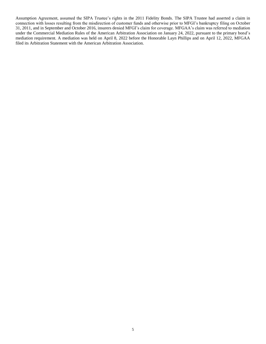Assumption Agreement, assumed the SIPA Trustee's rights in the 2011 Fidelity Bonds. The SIPA Trustee had asserted a claim in connection with losses resulting from the misdirection of customer funds and otherwise prior to MFGI's bankruptcy filing on October 31, 2011, and in September and October 2016, insurers denied MFGI's claim for coverage. MFGAA's claim was referred to mediation under the Commercial Mediation Rules of the American Arbitration Association on January 24, 2022, pursuant to the primary bond's mediation requirement. A mediation was held on April 8, 2022 before the Honorable Layn Phillips and on April 12, 2022, MFGAA filed its Arbitration Statement with the American Arbitration Association.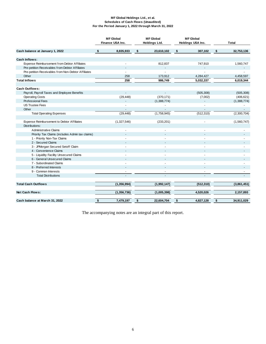#### **MF Global Holdings Ltd., et al. Schedules of Cash Flows (Unaudited) For the Period January 1, 2022 through March 31, 2022**

|                                                     | <b>MF</b> Global<br>Finance USA Inc. | <b>MF</b> Global<br>Holdings Ltd. |     | <b>MF</b> Global<br>Holdings USA Inc. | <b>Total</b> |             |  |
|-----------------------------------------------------|--------------------------------------|-----------------------------------|-----|---------------------------------------|--------------|-------------|--|
| Cash balance at January 1, 2022                     | \$<br>8,835,933                      | \$<br>23,610,102                  | -\$ | 307,102                               | $\sqrt{2}$   | 32,753,136  |  |
| Cash Inflows:                                       |                                      |                                   |     |                                       |              |             |  |
| Expense Reimbursement from Debtor Affiliates        |                                      | 812,837                           |     | 747,910                               |              | 1,560,747   |  |
| Pre-petition Receivables from Debtor Affiliates     |                                      |                                   |     |                                       |              |             |  |
| Pre-petition Receivables from Non-Debtor Affiliates |                                      |                                   |     |                                       |              |             |  |
| Other                                               | 258                                  | 173,912                           |     | 4,284,427                             |              | 4,458,597   |  |
| <b>Total Inflows</b>                                | 258                                  | 986,749                           |     | 5,032,337                             |              | 6,019,344   |  |
|                                                     |                                      |                                   |     |                                       |              |             |  |
| <b>Cash Outflows:</b>                               |                                      |                                   |     |                                       |              |             |  |
| Payroll, Payroll Taxes and Employee Benefits        | $\omega$                             | $\sim$                            |     | (505, 308)                            |              | (505, 308)  |  |
| <b>Operating Costs</b>                              | (29, 448)                            | (370, 171)                        |     | (7,002)                               |              | (406, 621)  |  |
| <b>Professional Fees</b>                            |                                      | (1,388,774)                       |     |                                       |              | (1,388,774) |  |
| <b>US Trustee Fees</b>                              |                                      |                                   |     |                                       |              |             |  |
| Other                                               | $\overline{a}$                       | $\overline{a}$                    |     | $\overline{\phantom{a}}$              |              | ٠           |  |
| <b>Total Operating Expenses</b>                     | (29, 448)                            | (1,758,945)                       |     | (512, 310)                            |              | (2,300,704) |  |
|                                                     |                                      |                                   |     |                                       |              |             |  |
| Expense Reimbursement to Debtor Affiliates          | (1,327,546)                          | (233, 201)                        |     | ä,                                    |              | (1,560,747) |  |
| Distributions:                                      |                                      |                                   |     |                                       |              |             |  |
| Administrative Claims                               |                                      |                                   |     | ٠                                     |              |             |  |
| Priority Tax Claims (includes Admin tax claims)     |                                      |                                   |     |                                       |              |             |  |
| 1 - Priority Non-Tax Claims                         |                                      |                                   |     |                                       |              |             |  |
| 2 - Secured Claims                                  |                                      |                                   |     |                                       |              |             |  |
| 3 - JPMorgan Secured Setoff Claim                   |                                      |                                   |     | $\overline{\phantom{a}}$              |              |             |  |
| 4 - Convenience Claims                              |                                      |                                   |     |                                       |              |             |  |
| 5 - Liquidity Facility Unsecured Claims             |                                      |                                   |     |                                       |              |             |  |
| 6 - General Unsecured Claims                        |                                      |                                   |     |                                       |              |             |  |
| 7 - Subordinated Claims                             |                                      |                                   |     |                                       |              |             |  |
| 8 - Preferred Interests                             |                                      | $\sim$                            |     | $\blacksquare$                        |              |             |  |
| 9 - Common Interests                                | ä,                                   |                                   |     | $\blacksquare$                        |              |             |  |
| <b>Total Distributions</b>                          | $\overline{a}$                       | ÷                                 |     | ÷.                                    |              |             |  |
|                                                     |                                      |                                   |     |                                       |              |             |  |
| <b>Total Cash Outflows</b>                          | (1,356,994)                          | (1,992,147)                       |     | (512, 310)                            |              | (3,861,451) |  |
|                                                     |                                      |                                   |     |                                       |              |             |  |
| Net Cash Flows:                                     | (1,356,736)                          | (1,005,398)                       |     | 4,520,026                             |              | 2,157,893   |  |
|                                                     |                                      |                                   |     |                                       |              |             |  |
| Cash balance at March 31, 2022                      | \$<br>7,479,197                      | \$<br>22,604,704                  | \$  | 4,827,128                             | \$           | 34,911,029  |  |

The accompanying notes are an integral part of this report.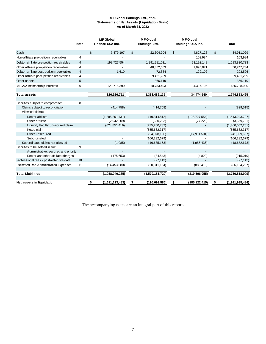#### **MF Global Holdings Ltd., et al. Statements of Net Assets (Liquidation Basis) As of March 31, 2022**

|                                               |             | <b>MF</b> Global      |         | <b>MF</b> Global      | <b>MF</b> Global      |                       |
|-----------------------------------------------|-------------|-----------------------|---------|-----------------------|-----------------------|-----------------------|
|                                               | <b>Note</b> | Finance USA Inc.      |         | <b>Holdings Ltd.</b>  | Holdings USA Inc.     | <b>Total</b>          |
|                                               |             |                       |         |                       |                       |                       |
| Cash                                          |             | 7,479,197<br>\$       |         | 22,604,704<br>\$      | \$<br>4,827,128       | \$<br>34,911,029      |
| Non-affiliate pre-petition receivables        | 4           |                       |         |                       | 103,984               | 103,984               |
| Debtor affiliate pre-petition receivables     | 4           | 198,727,554           |         | 1,291,911,031         | 23,192,148            | 1,513,830,733         |
| Other affiliate pre-petition receivables      | 4           |                       |         | 48,352,663            | 1,895,071             | 50,247,734            |
| Debtor affiliate post-petition receivables    | 4           |                       | 1.610   | 72,884                | 129,102               | 203,596               |
| Other affiliate post-petition receivables     | 4           |                       |         | 9,421,239             |                       | 9,421,239             |
| Other assets                                  | 5           |                       |         | 366,119               |                       | 366,119               |
| MFGAA membership interests                    | 6           | 120,718,390           |         | 10,753,493            | 4,327,106             | 135,798,990           |
|                                               |             |                       |         |                       |                       |                       |
| <b>Total assets</b>                           |             | 326,926,751           |         | 1,383,482,135         | 34,474,540            | 1,744,883,425         |
|                                               |             |                       |         |                       |                       |                       |
| Liabilities subject to compromise:            | 8           |                       |         |                       |                       |                       |
| Claims subject to reconciliation              |             | (414, 758)            |         | (414, 758)            |                       | (829, 515)            |
| Allow ed claims:                              |             |                       |         |                       |                       |                       |
| Debtor affiliate                              |             | (1,295,201,431)       |         | (19, 314, 812)        | (198, 727, 554)       | (1,513,243,797)       |
| Other affiliate                               |             | (2,942,209)           |         | (650, 293)            | (77, 229)             | (3,669,731)           |
| Liquidity Facility unsecured claim            |             | (624, 851, 419)       |         | (735, 200, 782)       |                       | (1,360,052,201)       |
| Notes claim                                   |             |                       |         | (655, 662, 317)       |                       | (655, 662, 317)       |
| Other unsecured                               |             |                       |         | (24,078,106)          | (17, 911, 501)        | (41,989,607)          |
| Subordinated                                  |             |                       |         | (106, 232, 679)       |                       | (106, 232, 679)       |
| Subordinated claims not allow ed              |             |                       | (1,085) | (16,685,153)          | (1,986,436)           | (18, 672, 673)        |
| Liabilities to be settled in full:            | 9           |                       |         |                       |                       |                       |
| Administrative, secured and priority          |             |                       |         |                       |                       |                       |
| Debtor and other affiliate charges            |             | (175, 653)            |         | (34, 543)             | (4,822)               | (215,019)             |
| Professional fees - post-effective date       | 10          |                       |         | (97, 113)             |                       | (97, 113)             |
| <b>Estimated Plan Administration Expenses</b> | 11          | (14, 453, 680)        |         | (20, 811, 164)        | (889, 413)            | (36, 154, 257)        |
|                                               |             |                       |         |                       |                       |                       |
| <b>Total Liabilities</b>                      |             | (1,938,040,235)       |         | (1,579,181,720)       | (219, 596, 955)       | (3,736,818,909)       |
|                                               |             |                       |         |                       |                       |                       |
| Net assets in liquidation                     |             | (1,611,113,483)<br>\$ |         | (195, 699, 585)<br>\$ | \$<br>(185, 122, 415) | \$<br>(1,991,935,484) |

The accompanying notes are an integral part of this report**.**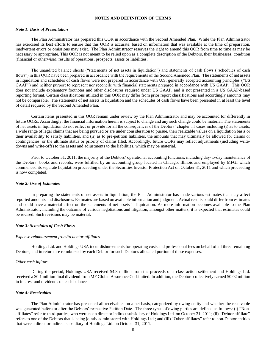#### **NOTES AND DEFINITION OF TERMS**

## *Note 1: Basis of Presentation*

The Plan Administrator has prepared this QOR in accordance with the Second Amended Plan. While the Plan Administrator has exercised its best efforts to ensure that this QOR is accurate, based on information that was available at the time of preparation, inadvertent errors or omissions may exist. The Plan Administrator reserves the right to amend this QOR from time to time as may be necessary or appropriate. This QOR is not meant to be relied upon as a complete description of the Debtors, their businesses, condition (financial or otherwise), results of operations, prospects, assets or liabilities.

The unaudited balance sheets ("statements of net assets in liquidation") and statements of cash flows ("schedules of cash flows") in this QOR have been prepared in accordance with the requirements of the Second Amended Plan. The statements of net assets in liquidation and schedules of cash flows were not prepared in accordance with U.S. generally accepted accounting principles ("US GAAP") and neither purport to represent nor reconcile with financial statements prepared in accordance with US GAAP. This QOR does not include explanatory footnotes and other disclosures required under US GAAP, and is not presented in a US GAAP-based reporting format. Certain classifications utilized in this QOR may differ from prior report classifications and accordingly amounts may not be comparable. The statements of net assets in liquidation and the schedules of cash flows have been presented in at least the level of detail required by the Second Amended Plan.

Certain items presented in this QOR remain under review by the Plan Administrator and may be accounted for differently in future QORs. Accordingly, the financial information herein is subject to change and any such change could be material. The statements of net assets in liquidation do not reflect or provide for all the consequences of the Debtors' chapter 11 cases including (i) as to assets, a wide range of legal claims that are being pursued or are under consideration to pursue, their realizable values on a liquidation basis or their availability to satisfy liabilities, and (ii) as to pre-petition liabilities, the amounts that may ultimately be allowed for claims or contingencies, or the ultimate status or priority of claims filed. Accordingly, future QORs may reflect adjustments (including writedowns and write-offs) to the assets and adjustments to the liabilities, which may be material.

Prior to October 31, 2011, the majority of the Debtors' operational accounting functions, including day-to-day maintenance of the Debtors' books and records, were fulfilled by an accounting group located in Chicago, Illinois and employed by MFGI which commenced its separate liquidation proceeding under the Securities Investor Protection Act on October 31, 2011 and which proceeding is now completed.

## *Note 2: Use of Estimates*

In preparing the statements of net assets in liquidation, the Plan Administrator has made various estimates that may affect reported amounts and disclosures. Estimates are based on available information and judgment. Actual results could differ from estimates and could have a material effect on the statements of net assets in liquidation. As more information becomes available to the Plan Administrator, including the outcome of various negotiations and litigation, amongst other matters, it is expected that estimates could be revised. Such revisions may be material.

#### *Note 3: Schedules of Cash Flows*

## *Expense reimbursement from/to debtor affiliates*

Holdings Ltd. and Holdings USA incur disbursements for operating costs and professional fees on behalf of all three remaining Debtors, and in return are reimbursed by each Debtor for such Debtor's allocated portion of these expenses.

#### *Other cash inflows*

During the period, Holdings USA received \$4.3 million from the proceeds of a class action settlement and Holdings Ltd. received a \$0.1 million final dividend from MF Global Assurance Co Limited. In addition, the Debtors collectively earned \$0.02 million in interest and dividends on cash balances.

#### *Note 4: Receivables*

The Plan Administrator has presented all receivables on a net basis, categorized by owing entity and whether the receivable was generated before or after the Debtors' respective Petition Date. The three types of owing parties are defined as follows: (i) "Nonaffiliates" refer to third-parties, who were not a direct or indirect subsidiary of Holdings Ltd. on October 31, 2011; (ii) "Debtor affiliate" refers to one of the Debtors that is being jointly administered with Holdings Ltd.; and (iii) "Other affiliates" refer to non-Debtor entities that were a direct or indirect subsidiary of Holdings Ltd. on October 31, 2011.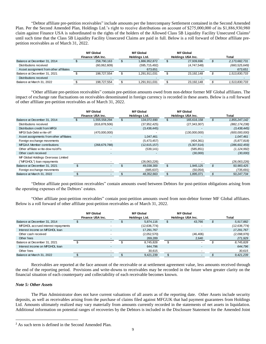"Debtor affiliate pre-petition receivables" include amounts per the Intercompany Settlement contained in the Second Amended Plan. Per the Second Amended Plan, Holdings Ltd.'s right to receive distributions on account of \$275,000,000 of its \$1,886,930,980 claim against Finance USA is subordinated to the rights of the holders of the Allowed Class 5B Liquidity Facility Unsecured Claims<sup>2</sup> until such time that the Class 5B Liquidity Facility Unsecured Claims are paid in full. Below is a roll forward of Debtor affiliate prepetition receivables as of March 31, 2022.

|                                        | <b>MF Global</b><br>Finance USA Inc. |                          | <b>MF Global</b><br>Holdings Ltd. | MF Global<br>Holdings USA Inc. |             | Total            |
|----------------------------------------|--------------------------------------|--------------------------|-----------------------------------|--------------------------------|-------------|------------------|
| Balance at December 31, 2014           |                                      | 258,790,163              | 1,886,952,872                     |                                | 27,939,696  | 2, 173, 682, 731 |
| Distributions received                 |                                      | (60,062,609)             | (595, 715, 492)                   |                                | (4,747,548) | (660, 525, 649)  |
| Asset assignment from other affiliates |                                      |                          | 673.651                           |                                |             | 673.651          |
| Balance at December 31, 2021           |                                      | 198.727.554              | 1,291,911,031                     |                                | 23.192.148  | 1,513,830,733    |
| Distributions received                 |                                      | $\overline{\phantom{0}}$ |                                   |                                |             |                  |
| Balance at March 31, 2022              |                                      | 198,727,554              | 1,291,911,031                     |                                | 23.192.148  | 1,513,830,733    |

"Other affiliate pre-petition receivables" contain pre-petition amounts owed from non-debtor former MF Global affiliates. The impact of exchange rate fluctuations on receivables denominated in foreign currency is recorded in these assets. Below is a roll forward of other affiliate pre-petition receivables as of March 31, 2022.

|                                         | <b>MF</b> Global<br>Finance USA Inc. | <b>MF Global</b><br>Holdings Ltd. |     | <b>MF Global</b><br>Holdings USA Inc. | Total           |
|-----------------------------------------|--------------------------------------|-----------------------------------|-----|---------------------------------------|-----------------|
| Balance at December 31, 2014            | 1,555,558,294                        | 134,072,690                       | \$. | 165,616,158                           | 1,855,247,142   |
| Distributions received                  | (816, 878, 506)                      | (37, 952, 425)                    |     | (27, 343, 307)                        | (882, 174, 238) |
| Distribution credit from MFGI           | $\overline{\phantom{a}}$             | (3,438,445)                       |     |                                       | (3, 438, 445)   |
| MFGI Sub-Debt w rite-off                | (470,000,000)                        |                                   |     | (130,000,000)                         | (600,000,000)   |
| Asset assignments from other affiliates | $\sim$                               | 1.047.461                         |     | $\overline{\phantom{a}}$              | 1,047,461       |
| Foreign exchange movements              | ٠                                    | (5,473,457)                       |     | (404, 361)                            | (5,877,818)     |
| <b>MFGAA Member contributions</b>       | (268, 679, 788)                      | (12,615,157)                      |     | (5,307,514)                           | (286, 602, 459) |
| Other affiliate w rite-downs/offs       | $\overline{\phantom{0}}$             | (539, 141)                        |     | (585, 851)                            | (1, 124, 992)   |
| Other cash received                     |                                      |                                   |     | (30,000)                              | (30,000)        |
| MF Global Holdings Overseas Limited     |                                      |                                   |     |                                       |                 |
| ("MFGHOL") loan repayments              |                                      | (26,063,226)                      |     |                                       | (26,063,226)    |
| Balance at December 31, 2021            | ۰.                                   | 49,038,300                        | \$  | 1,945,125                             | 50,983,425      |
| Foreign exchange movements              |                                      | (685, 637)                        |     | (50,054)                              | (735,691)       |
| Balance at March 31, 2022               |                                      | 48,352,663                        | ű.  | 1,895,071                             | 50,247,734      |

"Debtor affiliate post-petition receivables" contain amounts owed between Debtors for post-petition obligations arising from the operating expenses of the Debtors' estates.

"Other affiliate post-petition receivables" contain post-petition amounts owed from non-debtor former MF Global affiliates. Below is a roll forward of other affiliate post-petition receivables as of March 31, 2022.

|                                    | <b>MF</b> Global<br>Finance USA Inc. | <b>MF Global</b><br>Holdings Ltd. |              | <b>MF Global</b><br>Holdings USA Inc. |  | Total          |  |
|------------------------------------|--------------------------------------|-----------------------------------|--------------|---------------------------------------|--|----------------|--|
| Balance at December 31, 2014       | $\overline{\phantom{0}}$             |                                   | 5.874.116    | 43.766                                |  | 5,917,882      |  |
| MFGHOL accrued interest repayments | $\overline{\phantom{a}}$             |                                   | (12,636,774) |                                       |  | (12, 636, 774) |  |
| Interest income on MFGHOL loan     | $\overline{\phantom{0}}$             |                                   | 17,291,767   |                                       |  | 17,291,767     |  |
| Other cash received                |                                      |                                   | (2,052,570)  | (46, 406)                             |  | (2,098,976)    |  |
| Other fees                         | $\overline{\phantom{a}}$             |                                   | 269,289      | 2,640                                 |  | 271,929        |  |
| Balance at December 31, 2021       | $\overline{\phantom{a}}$             |                                   | 8.745.828    |                                       |  | 8,745,828      |  |
| Interest income on MFGHOL loan     | $\overline{\phantom{a}}$             |                                   | 644.796      |                                       |  | 644.796        |  |
| Other fees                         |                                      |                                   | 30,615       |                                       |  | 30,615         |  |
| Balance at March 31, 2022          | $\overline{\phantom{a}}$             |                                   | 9.421.239    |                                       |  | 9.421.239      |  |

Receivables are reported at the face amount of the receivable or at settlement agreement value, less amounts received through the end of the reporting period. Provisions and write-downs to receivables may be recorded in the future when greater clarity on the financial situation of each counterparty and collectability of each receivable becomes known.

## *Note 5: Other Assets*

 $\overline{\phantom{a}}$ 

The Plan Administrator does not have current valuations of all assets as of the reporting date. Other Assets include security deposits, as well as receivables arising from the purchase of claims filed against MFGUK that had payment guarantees from Holdings Ltd. Amounts ultimately realized may vary materially from amounts currently recorded in the statements of net assets in liquidation. Additional information on potential ranges of recoveries by the Debtors is included in the Disclosure Statement for the Amended Joint

<sup>2</sup> As such term is defined in the Second Amended Plan.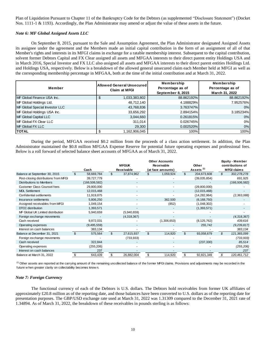Plan of Liquidation Pursuant to Chapter 11 of the Bankruptcy Code for the Debtors (as supplemented "Disclosure Statement") (Docket Nos. 1111-1 & 1193). Accordingly, the Plan Administrator may amend or adjust the value of these assets in the future.

## *Note 6: MF Global Assigned Assets LLC*

On September 8, 2015, pursuant to the Sale and Assumption Agreement, the Plan Administrator designated Assigned Assets its assignee under the agreement and the Members made an initial capital contribution in the form of an assignment of all of that Member's rights and interests in its MFGI claims in exchange for a ratable membership interest. Subsequent to the capital contribution, solvent former Debtors Capital and FX Clear assigned all assets and MFGAA interests to their direct parent entity Holdings USA and in March 2016, Special Investor and FX LLC also assigned all assets and MFGAA interests to their direct parent entities Holdings Ltd. and Holdings USA, respectively. Below is a breakdown of the allowed general unsecured claim each Member held at MFGI as well as the corresponding membership percentage in MFGAA, both at the time of the initial contribution and at March 31, 2022.

|                                | Allowed General Unsecured | Membership        | Membership       |
|--------------------------------|---------------------------|-------------------|------------------|
| Member                         | <b>Claim at MFGI</b>      | Percentage as of  | Percentage as of |
|                                |                           | September 8, 2015 | March 31, 2022   |
| MF Global Finance USA Inc.     | 1,033,383,802             | 88.862192%        | 88.862192%       |
| MF Global Holdings Ltd.        | 48,712,140                | 4.188829%         | 7.952576%        |
| MF Global Special Investor LLC | 43,768,836                | 3.763747%         | 0%               |
| MF Global Holdings USA Inc.    | 33,656,292                | 2.894154%         | 3.185234%        |
| MF Global Capital LLC          | 3,044,660                 | 0.261815%         | 0%               |
| <b>IMF Global FX Clear LLC</b> | 311,014                   | 0.026745%         | 0%               |
| MF Global FX LLC               | 29,300                    | 0.002520%         | 0%               |
| <b>TOTAL</b>                   | 1,162,906,045             | 100%              | 100%             |

During the period, MFGAA received \$0.2 million from the proceeds of a class action settlement. In addition, the Plan Administrator maintained the \$0.8 million MFGAA Expense Reserve for potential future operating expenses and professional fees. Below is a roll forward of selected balance sheet accounts of MFGAA as of March 31, 2022.

|                                                                                                                                                                                                                                                     |                | Cash            |                | <b>MFGUK</b><br><b>Receivable</b> |                | <b>Other Accounts</b><br><b>Receivable</b><br>(at face amounts) |                | Other<br>Assets <sup>(1)</sup> |               | <b>Equity - Member</b><br>contributions of<br><b>MFGI claims</b> |
|-----------------------------------------------------------------------------------------------------------------------------------------------------------------------------------------------------------------------------------------------------|----------------|-----------------|----------------|-----------------------------------|----------------|-----------------------------------------------------------------|----------------|--------------------------------|---------------|------------------------------------------------------------------|
| Balance at September 30, 2015                                                                                                                                                                                                                       | \$             | 58,669,784      | $\mathfrak{S}$ | 37,874,962                        | \$             | 1,059,924                                                       | \$             | 204,673,608                    | $\mathcal{L}$ | 302,278,278                                                      |
| Post-closing distributions from MFGI                                                                                                                                                                                                                |                | 39,727,779      |                |                                   |                |                                                                 |                | (39,035,854)                   |               | 691,925                                                          |
| <b>Distributions to Members</b>                                                                                                                                                                                                                     |                | (166, 506, 582) |                |                                   |                |                                                                 |                |                                |               | (166, 506, 582)                                                  |
| Customer Class Counsel fees                                                                                                                                                                                                                         |                | 29,800,000      |                |                                   |                |                                                                 |                | (29,800,000)                   |               |                                                                  |
| <b>MDL Settlement</b>                                                                                                                                                                                                                               |                | 12,015,468      |                |                                   |                |                                                                 |                | (12,015,468)                   |               |                                                                  |
| Confidential settlements                                                                                                                                                                                                                            |                | 11,919,875      |                |                                   |                |                                                                 |                | (14, 282, 964)                 |               | (2,363,088)                                                      |
| Insurance settlements                                                                                                                                                                                                                               |                | 5,806,250       |                |                                   |                | 362,500                                                         |                | (6, 168, 750)                  |               |                                                                  |
| Assigned receivables from MFGI                                                                                                                                                                                                                      |                | 1,049,154       |                |                                   |                | (852)                                                           |                | (1,048,302)                    |               |                                                                  |
| DTCC distribution                                                                                                                                                                                                                                   |                | 1,393,571       |                |                                   |                |                                                                 |                | (1,393,571)                    |               |                                                                  |
| MF Global UK Limited distribution                                                                                                                                                                                                                   |                | 5,940,659       |                | (5,940,659)                       |                |                                                                 |                |                                |               |                                                                  |
| Foreign exchange movements                                                                                                                                                                                                                          |                |                 |                | (4,318,367)                       |                |                                                                 |                |                                |               | (4,318,367)                                                      |
| Cash received                                                                                                                                                                                                                                       |                | 9,872,031       |                |                                   |                | (1,306,653)                                                     |                | (8, 125, 762)                  |               | 439,616                                                          |
| Operating expenses                                                                                                                                                                                                                                  |                | (9,495,559)     |                |                                   |                |                                                                 |                | 255,742                        |               | (9,239,817)                                                      |
| Interest on cash balances                                                                                                                                                                                                                           |                | 383,134         |                |                                   |                |                                                                 |                |                                |               | 383,134                                                          |
| Balance at December 31, 2021                                                                                                                                                                                                                        | $\mathfrak{L}$ | 575,564         | $\mathfrak{L}$ | 27,615,937                        | $\mathfrak{L}$ | 114,920                                                         | $\mathfrak{L}$ | 93,058,679                     | $\mathcal{L}$ | 121,365,099                                                      |
| Foreign exchange movements                                                                                                                                                                                                                          |                |                 |                | (733, 933)                        |                |                                                                 |                |                                |               | (733, 933)                                                       |
| Cash received                                                                                                                                                                                                                                       |                | 322,844         |                |                                   |                |                                                                 |                | (237, 330)                     |               | 85,514                                                           |
| Operating expenses                                                                                                                                                                                                                                  |                | (255, 206)      |                |                                   |                |                                                                 |                |                                |               | (255, 206)                                                       |
| Interest on cash balances                                                                                                                                                                                                                           |                | 237             |                |                                   |                |                                                                 |                |                                |               | 237                                                              |
| Balance at March 31, 2022                                                                                                                                                                                                                           | \$             | 643,439         | \$             | 26,882,004                        | \$             | 114,920                                                         | \$             | 92,821,349                     | \$            | 120,461,712                                                      |
| <sup>(1)</sup> Other assets are reported at the carrying amount of the remaining uncollected balance of the former MFGI claims. Provisions and adjustments may be recorded in the<br>future w hen greater clarity on collectability becomes know n. |                |                 |                |                                   |                |                                                                 |                |                                |               |                                                                  |

## *Note 7: Foreign Currency*

The functional currency of each of the Debtors is U.S. dollars. The Debtors hold receivables from former UK affiliates of approximately £20.8 million as of the reporting date, and those balances have been converted to U.S. dollars as of the reporting date for presentation purposes. The GBP/USD exchange rate used at March 31, 2022 was 1.31309 compared to the December 31, 2021 rate of 1.34894. As of March 31, 2022, the breakdown of these receivables in pounds sterling is as follows: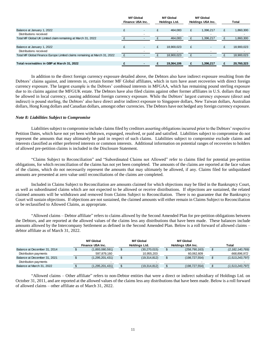|                                                                           | <b>MF</b> Global<br>Finance USA Inc. |  | <b>MF</b> Global<br>Holdings Ltd. |   | <b>MF</b> Global<br>Holdings USA Inc. |   | <b>Total</b> |
|---------------------------------------------------------------------------|--------------------------------------|--|-----------------------------------|---|---------------------------------------|---|--------------|
|                                                                           |                                      |  |                                   |   |                                       |   |              |
| Balance at January 1, 2022                                                | £                                    |  | 464,083                           | £ | 1,396,217                             | £ | 1,860,300    |
| Distributions received                                                    |                                      |  |                                   |   |                                       |   |              |
| Total MF Global UK Limited claim remaining at March 31, 2022              |                                      |  | 464,083                           |   | 1,396,217                             |   | 1,860,300    |
|                                                                           |                                      |  |                                   |   |                                       |   |              |
| Balance at January 1, 2022                                                | £                                    |  | 18,900,023                        | £ |                                       | £ | 18,900,023   |
| Distributions received                                                    |                                      |  | $\overline{\phantom{0}}$          |   |                                       |   |              |
| Total MF Global Finance Europe Limited claims remaining at March 31, 2022 |                                      |  | 18,900,023                        |   |                                       |   | 18,900,023   |
|                                                                           |                                      |  |                                   |   |                                       |   |              |
| Total receivables in GBP at March 31, 2022                                |                                      |  | 19,364,106                        |   | 1.396.217                             |   | 20,760,323   |

In addition to the direct foreign currency exposure detailed above, the Debtors also have indirect exposure resulting from the Debtors' claims against, and interests in, certain former MF Global affiliates, which in turn have asset recoveries with direct foreign currency exposure. The largest example is the Debtors' combined interests in MFGAA, which has remaining pound sterling exposure due to its claims against the MFGUK estate. The Debtors have also filed claims against other former affiliates in U.S. dollars that may be allowed in local currency, causing additional foreign currency exposure. While the Debtors' largest currency exposure (direct and indirect) is pound sterling, the Debtors' also have direct and/or indirect exposure to Singapore dollars, New Taiwan dollars, Australian dollars, Hong Kong dollars and Canadian dollars, amongst other currencies. The Debtors have not hedged any foreign currency exposure.

## *Note 8: Liabilities Subject to Compromise*

Liabilities subject to compromise include claims filed by creditors asserting obligations incurred prior to the Debtors' respective Petition Dates, which have not yet been withdrawn, expunged, resolved, or paid and satisfied. Liabilities subject to compromise do not represent the amounts that may ultimately be paid in respect of such claims. Liabilities subject to compromise exclude claims and interests classified as either preferred interests or common interests. Additional information on potential ranges of recoveries to holders of allowed pre-petition claims is included in the Disclosure Statement.

"Claims Subject to Reconciliation" and "Subordinated Claims not Allowed" refer to claims filed for potential pre-petition obligations, for which reconciliation of the claims has not yet been completed. The amounts of the claims are reported at the face values of the claims, which do not necessarily represent the amounts that may ultimately be allowed, if any. Claims filed for unliquidated amounts are presented at zero value until reconciliations of the claims are completed.

Included in Claims Subject to Reconciliation are amounts claimed for which objections may be filed in the Bankruptcy Court, as well as subordinated claims which are not expected to be allowed or receive distributions. If objections are sustained, the related claimed amounts will be withdrawn and removed from Claims Subject to Reconciliation. There is no guarantee that the Bankruptcy Court will sustain objections. If objections are not sustained, the claimed amounts will either remain in Claims Subject to Reconciliation or be reclassified to Allowed Claims, as appropriate.

"Allowed claims – Debtor affiliate" refers to claims allowed by the Second Amended Plan for pre-petition obligations between the Debtors, and are reported at the allowed values of the claims less any distributions that have been made. These balances include amounts allowed by the Intercompany Settlement as defined in the Second Amended Plan. Below is a roll forward of allowed claims – debtor affiliate as of March 31, 2022.

|                              | <b>MF</b> Global<br>Finance USA Inc. | <b>MF Global</b><br>Holdings Ltd. | <b>MF Global</b><br>Holdings USA Inc. | <b>Total</b>       |
|------------------------------|--------------------------------------|-----------------------------------|---------------------------------------|--------------------|
| Balance at December 31, 2014 | (1,893,080,591)                      | (30, 270, 015)                    | (258, 790, 163)                       | (2, 182, 140, 769) |
| Distribution payments        | 597,879,160                          | 10,955,203                        | 60,062,609                            | 668,896,972        |
| Balance at December 31, 2021 | (1,295,201,431)                      | (19,314,812)                      | (198, 727, 554)                       | (1,513,243,797)    |
| Distribution payments        |                                      |                                   |                                       |                    |
| Balance at March 31, 2022    | (1, 295, 201, 431)                   | (19,314,812)                      | (198, 727, 554)                       | (1,513,243,797)    |

"Allowed claims – Other affiliate" refers to non-Debtor entities that were a direct or indirect subsidiary of Holdings Ltd. on October 31, 2011, and are reported at the allowed values of the claims less any distributions that have been made. Below is a roll forward of allowed claims – other affiliate as of March 31, 2022.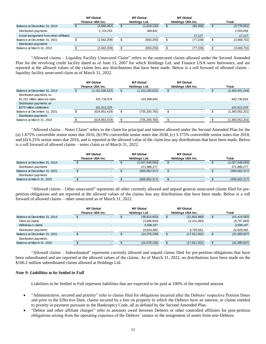|                                        |                  | <b>MF</b> Global         |               | <b>MF</b> Global | <b>MF</b> Global  |       |             |
|----------------------------------------|------------------|--------------------------|---------------|------------------|-------------------|-------|-------------|
|                                        | Finance USA Inc. |                          | Holdinas Ltd. |                  | Holdings USA Inc. | Total |             |
| Balance at December 31, 2014           |                  | (4,666,462)              |               | (1,019,133)      | (94, 356)         |       | (5,779,951) |
| Distribution payments                  |                  | .724.253                 |               | 368.841          |                   |       | 2.093.094   |
| Asset assignment from other affiliates |                  |                          |               |                  | 17.127            |       | 17.127      |
| Balance at December 31, 2021           |                  | (2,942,209)              |               | (650, 293)       | (77,229)          |       | (3,669,731) |
| Distribution payments                  |                  | $\overline{\phantom{0}}$ |               |                  |                   |       |             |
| Balance at March 31, 2022              |                  | (2,942,209)              |               | (650, 293)       | (77, 229)         |       | (3,669,731) |

"Allowed claims – Liquidity Facility Unsecured Claim" refers to the unsecured claims allowed under the Second Amended Plan for the revolving credit facility dated as of June 15, 2007 for which Holdings Ltd. and Finance USA were borrowers, and are reported at the allowed values of the claims less any distributions that have been made. Below is a roll forward of allowed claims – liquidity facility unsecured claim as of March 31, 2022.

|                                                            | <b>MF</b> Global<br>Finance USA Inc. | <b>MF Global</b><br>Holdings Ltd. |   | <b>MF Global</b><br>Holdings USA Inc. | <b>Total</b>    |
|------------------------------------------------------------|--------------------------------------|-----------------------------------|---|---------------------------------------|-----------------|
| Balance at December 31, 2014                               | (1, 152, 200, 622)                   | (1, 152, 200, 622)                |   |                                       | (2,304,401,244) |
| Distribution payments on<br>\$1,152 million allow ed claim | 425,736,978                          | 416,999,840                       |   |                                       | 842,736,818     |
| Distribution payments on<br>\$275 million settlement       | 101,612,225                          |                                   |   |                                       | 101,612,225     |
| Balance at December 31, 2021                               | (624, 851, 419)                      | (735, 200, 782)                   | Ъ |                                       | (1,360,052,201) |
| Distribution payments                                      | $\overline{\phantom{a}}$             |                                   |   |                                       |                 |
| Balance at March 31, 2022                                  | (624, 851, 419)                      | (735,200,782)                     |   |                                       | (1,360,052,201) |

"Allowed claims – Notes Claim" refers to the claim for principal and interest allowed under the Second Amended Plan for the (a) 1.875% convertible senior notes due 2016, (b) 9% convertible senior notes due 2038, (c) 3.375% convertible senior notes due 2018, and (d) 6.25% senior notes due 2016, and is reported at the allowed value of the claim less any distributions that have been made. Below is a roll forward of allowed claims – notes claim as of March 31, 2022.

|                              | MF Global        |  | MF Global       |                   | <b>MF Global</b> |                 |
|------------------------------|------------------|--|-----------------|-------------------|------------------|-----------------|
|                              | Finance USA Inc. |  | Holdinas Ltd.   | Holdings USA Inc. |                  | Total           |
| Balance at December 31, 2014 | $\sim$           |  | (1,027,548,593) |                   |                  | (1,027,548,593) |
| Distribution payments        |                  |  | 371,886,277     |                   |                  | 371,886,277     |
| Balance at December 31, 2021 | $\sim$           |  | (655, 662, 317) |                   |                  | (655, 662, 317) |
| Distribution payments        |                  |  |                 |                   |                  |                 |
| Balance at March 31, 2022    | $\sim$           |  | (655, 662, 317) |                   |                  | (655, 662, 317) |

"Allowed claims – Other unsecured" represents all other currently allowed and unpaid general unsecured claims filed for prepetition obligations and are reported at the allowed values of the claims less any distributions that have been made. Below is a roll forward of allowed claims – other unsecured as of March 31, 2022.

|                              | <b>MF</b> Global<br>Finance USA Inc. |                          | <b>MF Global</b><br>Holdings Ltd. |              | <b>MF Global</b><br>Holdings USA Inc. |                | <b>Total</b> |                |
|------------------------------|--------------------------------------|--------------------------|-----------------------------------|--------------|---------------------------------------|----------------|--------------|----------------|
| Balance at December 31, 2014 |                                      | $\overline{\phantom{0}}$ |                                   | (39,814,603) |                                       | (21,603,980)   |              | (61, 418, 583) |
| Allow ed claims              |                                      |                          |                                   | (3,696,600)  |                                       | (3, 101, 083)  |              | (6, 797, 683)  |
| Withdraw n claims            |                                      | $\overline{\phantom{a}}$ |                                   | 3,598,197    |                                       |                |              | 3,598,197      |
| Distribution payments        |                                      | $\overline{\phantom{a}}$ |                                   | 15.834.900   |                                       | 6,793,562      |              | 22,628,462     |
| Balance at December 31, 2021 |                                      | $\blacksquare$           |                                   | (24,078,106) |                                       | (17, 911, 501) | \$           | (41,989,607)   |
| Distribution payments        |                                      |                          |                                   |              |                                       |                |              |                |
| Balance at March 31, 2022    |                                      |                          |                                   | (24,078,106) |                                       | (17, 911, 501) |              | (41,989,607)   |

"Allowed claims – Subordinated" represents currently allowed and unpaid claims filed for pre-petition obligations that have been subordinated and are reported at the allowed values of the claims. As of March 31, 2022, no distributions have been made on the \$106.2 million subordinated claims allowed at Holdings Ltd.

# *Note 9: Liabilities to be Settled in Full*

Liabilities to be Settled in Full represent liabilities that are expected to be paid at 100% of the reported amount.

- "Administrative, secured and priority" refer to claims filed for obligations incurred after the Debtors' respective Petition Dates and prior to the Effective Date, claims secured by a lien on property in which the Debtors have an interest, or claims entitled to priority in payment pursuant to the Bankruptcy Code, all as defined by the Second Amended Plan.
- "Debtor and other affiliate charges" refer to amounts owed between Debtors or other controlled affiliates for post-petition obligations arising from the operating expenses of the Debtors' estates or the assignment of assets from non-Debtors.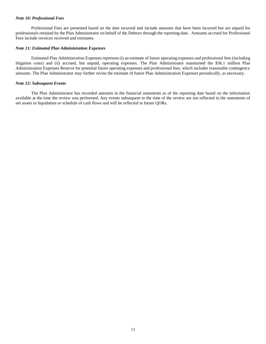## *Note 10: Professional Fees*

Professional Fees are presented based on the date incurred and include amounts that have been incurred but are unpaid for professionals retained by the Plan Administrator on behalf of the Debtors through the reporting date. Amounts accrued for Professional Fees include invoices received and estimates.

## *Note 11: Estimated Plan Administration Expenses*

Estimated Plan Administration Expenses represent (i) an estimate of future operating expenses and professional fees (including litigation costs) and (ii) accrued, but unpaid, operating expenses. The Plan Administrator maintained the \$36.1 million Plan Administration Expenses Reserve for potential future operating expenses and professional fees, which includes reasonable contingency amounts. The Plan Administrator may further revise the estimate of future Plan Administration Expenses periodically, as necessary.

# *Note 12: Subsequent Events*

The Plan Administrator has recorded amounts in the financial statements as of the reporting date based on the information available at the time the review was performed. Any events subsequent to the time of the review are not reflected in the statements of net assets in liquidation or schedule of cash flows and will be reflected in future QORs.